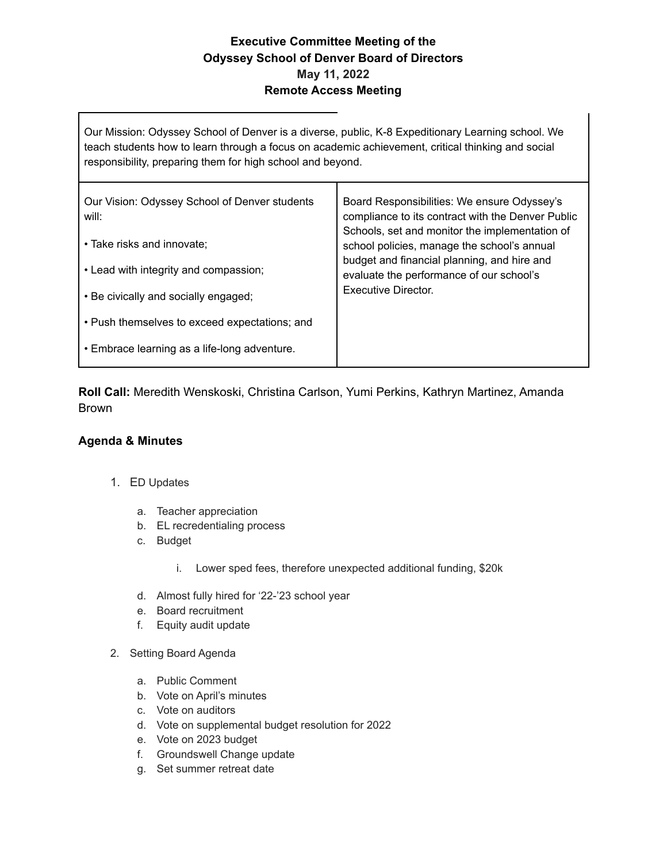## **Executive Committee Meeting of the Odyssey School of Denver Board of Directors May 11, 2022 Remote Access Meeting**

Our Mission: Odyssey School of Denver is a diverse, public, K-8 Expeditionary Learning school. We teach students how to learn through a focus on academic achievement, critical thinking and social responsibility, preparing them for high school and beyond.

| Our Vision: Odyssey School of Denver students<br>will: | Board Responsibilities: We ensure Odyssey's<br>compliance to its contract with the Denver Public<br>Schools, set and monitor the implementation of<br>school policies, manage the school's annual<br>budget and financial planning, and hire and<br>evaluate the performance of our school's<br>Executive Director. |
|--------------------------------------------------------|---------------------------------------------------------------------------------------------------------------------------------------------------------------------------------------------------------------------------------------------------------------------------------------------------------------------|
| • Take risks and innovate:                             |                                                                                                                                                                                                                                                                                                                     |
| • Lead with integrity and compassion;                  |                                                                                                                                                                                                                                                                                                                     |
| • Be civically and socially engaged;                   |                                                                                                                                                                                                                                                                                                                     |
| • Push themselves to exceed expectations; and          |                                                                                                                                                                                                                                                                                                                     |
| • Embrace learning as a life-long adventure.           |                                                                                                                                                                                                                                                                                                                     |
|                                                        |                                                                                                                                                                                                                                                                                                                     |

**Roll Call:** Meredith Wenskoski, Christina Carlson, Yumi Perkins, Kathryn Martinez, Amanda Brown

## **Agenda & Minutes**

- 1. ED Updates
	- a. Teacher appreciation
	- b. EL recredentialing process
	- c. Budget
		- i. Lower sped fees, therefore unexpected additional funding, \$20k
	- d. Almost fully hired for '22-'23 school year
	- e. Board recruitment
	- f. Equity audit update
- 2. Setting Board Agenda
	- a. Public Comment
	- b. Vote on April's minutes
	- c. Vote on auditors
	- d. Vote on supplemental budget resolution for 2022
	- e. Vote on 2023 budget
	- f. Groundswell Change update
	- g. Set summer retreat date